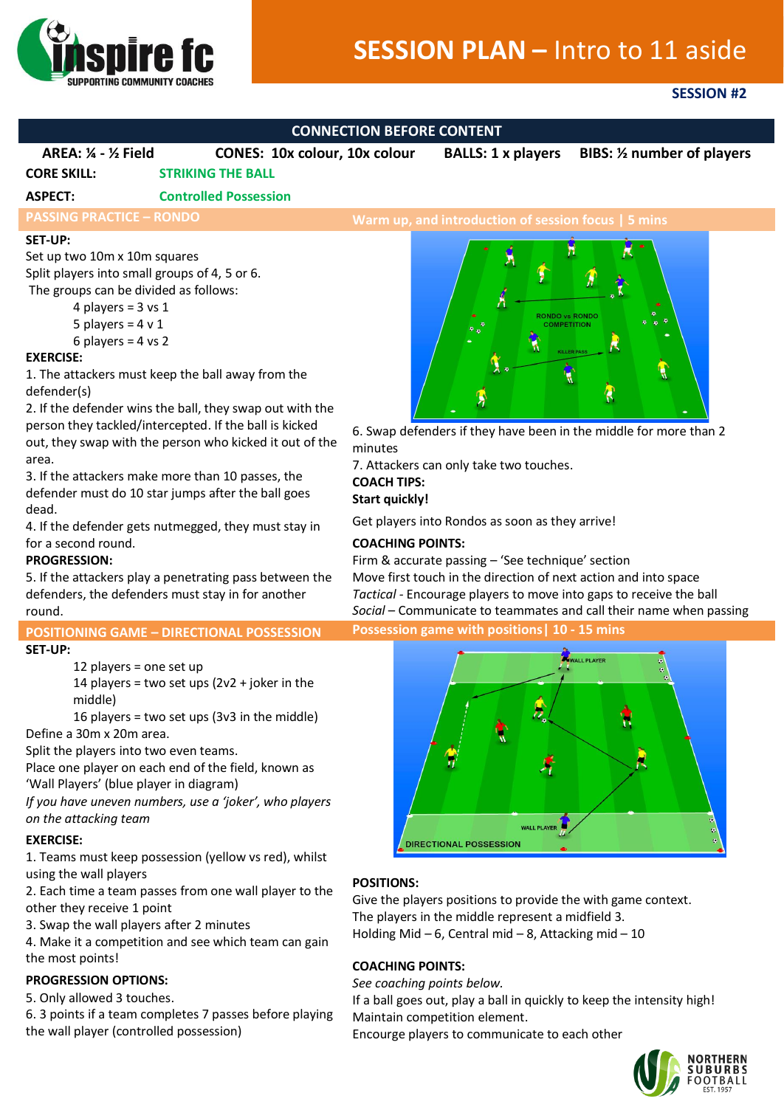

# **SESSION PLAN –** Intro to 11 aside

## **SESSION #2**

### **CONNECTION BEFORE CONTENT**

**AREA: ¼ - ½ Field CONES: 10x colour, 10x colour BALLS: 1 x players BIBS: ½ number of players CORE SKILL: STRIKING THE BALL ASPECT: Controlled Possession PASSING PRACTICE – RONDO Warm up, and introduction of session focus | 5 mins**

### **SET-UP:**

Set up two 10m x 10m squares Split players into small groups of 4, 5 or 6. The groups can be divided as follows:

> 4 players =  $3$  vs  $1$ 5 players =  $4 \text{ v } 1$

6 players =  $4$  vs  $2$ 

### **EXERCISE:**

1. The attackers must keep the ball away from the defender(s)

2. If the defender wins the ball, they swap out with the person they tackled/intercepted. If the ball is kicked out, they swap with the person who kicked it out of the area.

3. If the attackers make more than 10 passes, the defender must do 10 star jumps after the ball goes dead.

4. If the defender gets nutmegged, they must stay in for a second round.

### **PROGRESSION:**

5. If the attackers play a penetrating pass between the defenders, the defenders must stay in for another round.

### **SET-UP:**

12 players = one set up

14 players = two set ups  $(2v2 + joker in the$ middle)

16 players = two set ups (3v3 in the middle) Define a 30m x 20m area.

Split the players into two even teams.

Place one player on each end of the field, known as 'Wall Players' (blue player in diagram)

*If you have uneven numbers, use a 'joker', who players on the attacking team*

### **EXERCISE:**

1. Teams must keep possession (yellow vs red), whilst using the wall players

2. Each time a team passes from one wall player to the other they receive 1 point

3. Swap the wall players after 2 minutes

4. Make it a competition and see which team can gain the most points!

### **PROGRESSION OPTIONS:**

5. Only allowed 3 touches.

6. 3 points if a team completes 7 passes before playing the wall player (controlled possession)



6. Swap defenders if they have been in the middle for more than 2 minutes

7. Attackers can only take two touches. **COACH TIPS:**

**Start quickly!**

Get players into Rondos as soon as they arrive!

### **COACHING POINTS:**

Firm & accurate passing – 'See technique' section Move first touch in the direction of next action and into space *Tactical -* Encourage players to move into gaps to receive the ball *Social* – Communicate to teammates and call their name when passing

**POSITIONING GAME – DIRECTIONAL POSSESSION Possession game with positions| 10 - 15 mins**



### **POSITIONS:**

Give the players positions to provide the with game context. The players in the middle represent a midfield 3. Holding Mid – 6, Central mid – 8, Attacking mid – 10

### **COACHING POINTS:**

*See coaching points below.* 

If a ball goes out, play a ball in quickly to keep the intensity high! Maintain competition element.

Encourge players to communicate to each other